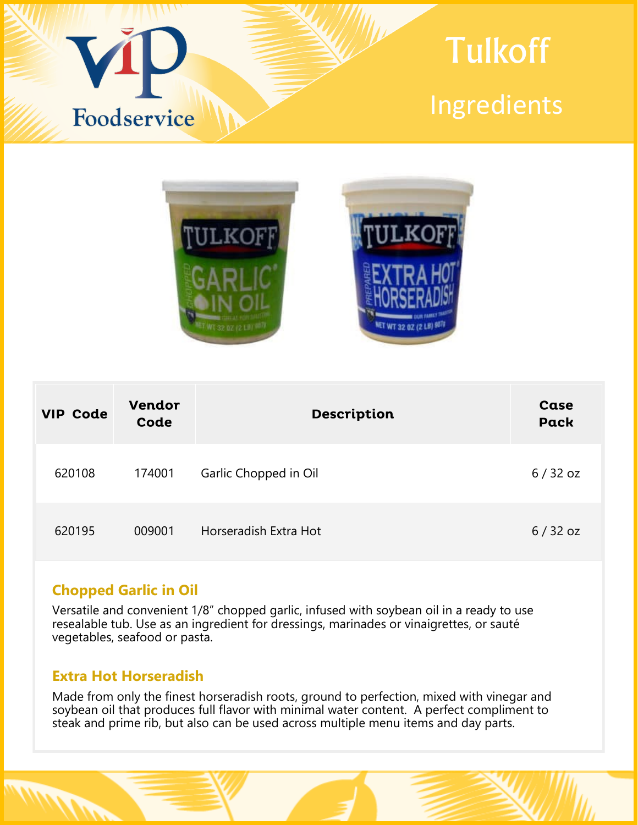



| <b>VIP Code</b> | <b>Vendor</b><br>Code | Description           | Case<br><b>Pack</b> |
|-----------------|-----------------------|-----------------------|---------------------|
| 620108          | 174001                | Garlic Chopped in Oil | $6/32$ oz           |
| 620195          | 009001                | Horseradish Extra Hot | $6/32$ oz           |

# **Chopped Garlic in Oil**

Versatile and convenient 1/8" chopped garlic, infused with soybean oil in a ready to use resealable tub. Use as an ingredient for dressings, marinades or vinaigrettes, or sauté vegetables, seafood or pasta.

## **Extra Hot Horseradish**

Made from only the finest horseradish roots, ground to perfection, mixed with vinegar and soybean oil that produces full flavor with minimal water content. A perfect compliment to steak and prime rib, but also can be used across multiple menu items and day parts.